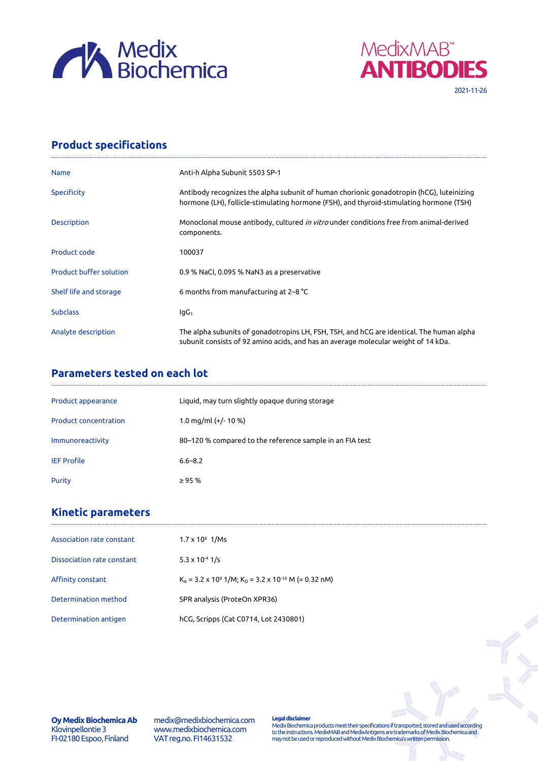



## **Product specifications**

| <b>Name</b>                    | Anti-h Alpha Subunit 5503 SP-1                                                                                                                                                      |
|--------------------------------|-------------------------------------------------------------------------------------------------------------------------------------------------------------------------------------|
| Specificity                    | Antibody recognizes the alpha subunit of human chorionic gonadotropin (hCG), luteinizing<br>hormone (LH), follicle-stimulating hormone (FSH), and thyroid-stimulating hormone (TSH) |
| <b>Description</b>             | Monoclonal mouse antibody, cultured <i>in vitro</i> under conditions free from animal-derived<br>components.                                                                        |
| Product code                   | 100037                                                                                                                                                                              |
| <b>Product buffer solution</b> | 0.9 % NaCl, 0.095 % NaN3 as a preservative                                                                                                                                          |
| Shelf life and storage         | 6 months from manufacturing at 2–8 $^{\circ}$ C                                                                                                                                     |
| <b>Subclass</b>                | lgG <sub>1</sub>                                                                                                                                                                    |
| Analyte description            | The alpha subunits of gonadotropins LH, FSH, TSH, and hCG are identical. The human alpha<br>subunit consists of 92 amino acids, and has an average molecular weight of 14 kDa.      |

## **Parameters tested on each lot**

| Product appearance           | Liquid, may turn slightly opaque during storage          |
|------------------------------|----------------------------------------------------------|
| <b>Product concentration</b> | 1.0 mg/ml $(+/- 10 %$                                    |
| Immunoreactivity             | 80–120 % compared to the reference sample in an FIA test |
| <b>IEF Profile</b>           | $6.6 - 8.2$                                              |
| Purity                       | $\geq$ 95 %                                              |

## **Kinetic parameters**

| $1.7 \times 10^6$ 1/Ms                                                           |
|----------------------------------------------------------------------------------|
| $5.3 \times 10^{-4}$ 1/s                                                         |
| $K_A$ = 3.2 x 10 <sup>9</sup> 1/M; $K_D$ = 3.2 x 10 <sup>-10</sup> M (= 0.32 nM) |
| SPR analysis (ProteOn XPR36)                                                     |
| hCG, Scripps (Cat C0714, Lot 2430801)                                            |
|                                                                                  |

**Oy Medix Biochemica Ab** Klovinpellontie 3 FI-02180 Espoo, Finland

medix@medixbiochemica.com www.medixbiochemica.com VAT reg.no. FI14631532

**Legal disclaimer** Medix Biochemica products meet their specifications if transported, stored and used according to the instructions. MedixMAB and MedixAntigens are trademarks of Medix Biochemica and may not be used or reproduced without Medix Biochemica's written permission.